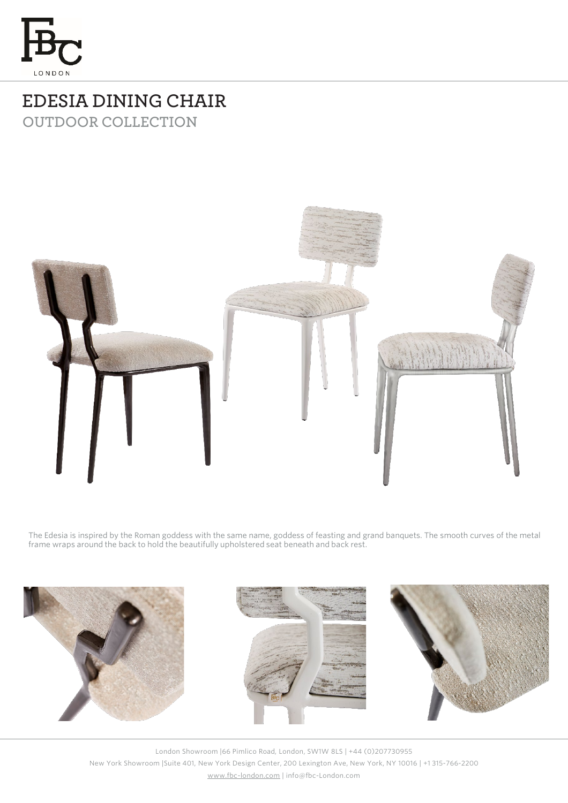

## **EDESIA DINING CHAIR OUTDOOR COLLECTION**



The Edesia is inspired by the Roman goddess with the same name, goddess of feasting and grand banquets. The smooth curves of the metal frame wraps around the back to hold the beautifully upholstered seat beneath and back rest.



London Showroom |66 Pimlico Road, London, SW1W 8LS | +44 (0)207730955 New York Showroom |Suite 401, New York Design Center, 200 Lexington Ave, New York, NY 10016 | +1 315-766-2200 [www.fbc-london.com](http://www.fbc-london.com/) | info@fbc-London.com